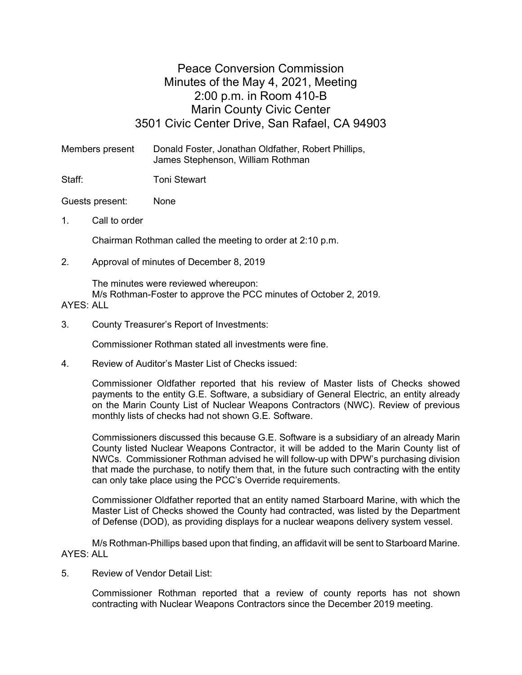## Peace Conversion Commission Minutes of the May 4, 2021, Meeting 2:00 p.m. in Room 410-B Marin County Civic Center 3501 Civic Center Drive, San Rafael, CA 94903

Members present Donald Foster, Jonathan Oldfather, Robert Phillips, James Stephenson, William Rothman

Staff: Toni Stewart

Guests present: None

1. Call to order

Chairman Rothman called the meeting to order at 2:10 p.m.

2. Approval of minutes of December 8, 2019

The minutes were reviewed whereupon: M/s Rothman-Foster to approve the PCC minutes of October 2, 2019.

## AYES: ALL

3. County Treasurer's Report of Investments:

Commissioner Rothman stated all investments were fine.

4. Review of Auditor's Master List of Checks issued:

Commissioner Oldfather reported that his review of Master lists of Checks showed payments to the entity G.E. Software, a subsidiary of General Electric, an entity already on the Marin County List of Nuclear Weapons Contractors (NWC). Review of previous monthly lists of checks had not shown G.E. Software.

Commissioners discussed this because G.E. Software is a subsidiary of an already Marin County listed Nuclear Weapons Contractor, it will be added to the Marin County list of NWCs. Commissioner Rothman advised he will follow-up with DPW's purchasing division that made the purchase, to notify them that, in the future such contracting with the entity can only take place using the PCC's Override requirements.

Commissioner Oldfather reported that an entity named Starboard Marine, with which the Master List of Checks showed the County had contracted, was listed by the Department of Defense (DOD), as providing displays for a nuclear weapons delivery system vessel.

M/s Rothman-Phillips based upon that finding, an affidavit will be sent to Starboard Marine. AYES: ALL

5. Review of Vendor Detail List:

Commissioner Rothman reported that a review of county reports has not shown contracting with Nuclear Weapons Contractors since the December 2019 meeting.